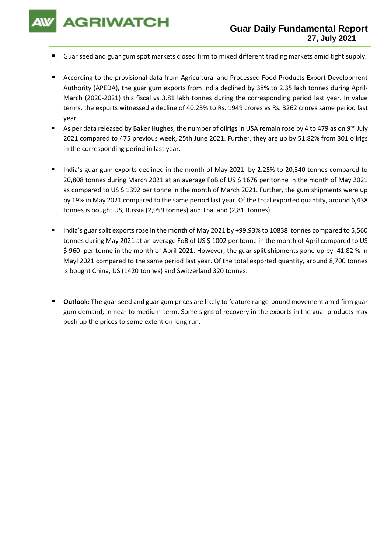**AGRIWATCH** 

- Guar seed and guar gum spot markets closed firm to mixed different trading markets amid tight supply.
- According to the provisional data from Agricultural and Processed Food Products Export Development Authority (APEDA), the guar gum exports from India declined by 38% to 2.35 lakh tonnes during April-March (2020-2021) this fiscal vs 3.81 lakh tonnes during the corresponding period last year. In value terms, the exports witnessed a decline of 40.25% to Rs. 1949 crores vs Rs. 3262 crores same period last year.
- As per data released by Baker Hughes, the number of oilrigs in USA remain rose by 4 to 479 as on 9<sup>nd</sup> July 2021 compared to 475 previous week, 25th June 2021. Further, they are up by 51.82% from 301 oilrigs in the corresponding period in last year.
- India's guar gum exports declined in the month of May 2021 by 2.25% to 20,340 tonnes compared to 20,808 tonnes during March 2021 at an average FoB of US \$ 1676 per tonne in the month of May 2021 as compared to US \$ 1392 per tonne in the month of March 2021. Further, the gum shipments were up by 19% in May 2021 compared to the same period last year. Of the total exported quantity, around 6,438 tonnes is bought US, Russia (2,959 tonnes) and Thailand (2,81 tonnes).
- India's guar split exports rose in the month of May 2021 by +99.93% to 10838 tonnes compared to 5,560 tonnes during May 2021 at an average FoB of US \$ 1002 per tonne in the month of April compared to US \$ 960 per tonne in the month of April 2021. However, the guar split shipments gone up by 41.82 % in Mayl 2021 compared to the same period last year. Of the total exported quantity, around 8,700 tonnes is bought China, US (1420 tonnes) and Switzerland 320 tonnes.
- **Outlook:** The guar seed and guar gum prices are likely to feature range-bound movement amid firm guar gum demand, in near to medium-term. Some signs of recovery in the exports in the guar products may push up the prices to some extent on long run.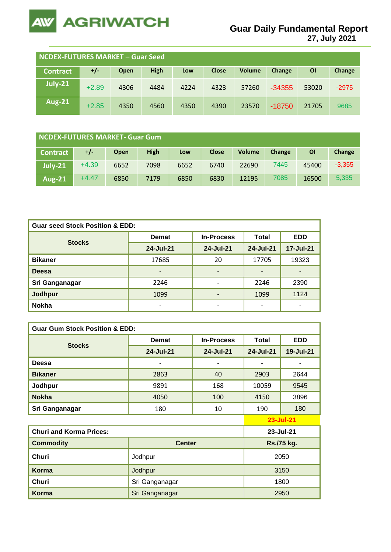

**27, July 2021**

| NCDEX-FUTURES MARKET – Guar Seed |         |      |             |      |              |        |          |       |         |
|----------------------------------|---------|------|-------------|------|--------------|--------|----------|-------|---------|
| <b>Contract</b>                  | $+/-$   | Open | <b>High</b> | Low  | <b>Close</b> | Volume | Change   | ΟI    | Change  |
| July-21                          | $+2.89$ | 4306 | 4484        | 4224 | 4323         | 57260  | $-34355$ | 53020 | $-2975$ |
| <b>Aug-21</b>                    | $+2.85$ | 4350 | 4560        | 4350 | 4390         | 23570  | $-18750$ | 21705 | 9685    |

| <b>NCDEX-FUTURES MARKET- Guar Gum</b> |         |             |             |      |              |               |        |       |          |
|---------------------------------------|---------|-------------|-------------|------|--------------|---------------|--------|-------|----------|
| <b>Contract</b>                       | +/-     | <b>Open</b> | <b>High</b> | Low  | <b>Close</b> | <b>Volume</b> | Change | ΟI    | Change   |
| $July-21$                             | $+4.39$ | 6652        | 7098        | 6652 | 6740         | 22690         | 7445   | 45400 | $-3,355$ |
| <b>Aug-21</b>                         | $+4.47$ | 6850        | 7179        | 6850 | 6830         | 12195         | 7085   | 16500 | 5,335    |

| <b>Guar seed Stock Position &amp; EDD:</b> |                          |                          |           |                |  |  |  |
|--------------------------------------------|--------------------------|--------------------------|-----------|----------------|--|--|--|
|                                            | <b>Demat</b>             | <b>In-Process</b>        | Total     | <b>EDD</b>     |  |  |  |
| <b>Stocks</b>                              | 24-Jul-21                | 24-Jul-21                | 24-Jul-21 | 17-Jul-21      |  |  |  |
| <b>Bikaner</b>                             | 17685                    | 20                       | 17705     | 19323          |  |  |  |
| <b>Deesa</b>                               | $\overline{\phantom{a}}$ | ٠                        | -         | $\blacksquare$ |  |  |  |
| Sri Ganganagar                             | 2246                     | $\overline{\phantom{a}}$ | 2246      | 2390           |  |  |  |
| Jodhpur                                    | 1099                     | $\overline{\phantom{a}}$ | 1099      | 1124           |  |  |  |
| <b>Nokha</b>                               |                          | ۰                        | ٠         | -              |  |  |  |

| <b>Guar Gum Stock Position &amp; EDD:</b> |                |                   |              |                  |  |  |  |
|-------------------------------------------|----------------|-------------------|--------------|------------------|--|--|--|
|                                           | <b>Demat</b>   | <b>In-Process</b> | <b>Total</b> | <b>EDD</b>       |  |  |  |
| <b>Stocks</b>                             | 24-Jul-21      | 24-Jul-21         | 24-Jul-21    | <b>19-Jul-21</b> |  |  |  |
| Deesa                                     |                | ۰                 |              |                  |  |  |  |
| <b>Bikaner</b>                            | 2863           | 40                | 2903         | 2644             |  |  |  |
| Jodhpur                                   | 9891           | 168               | 10059        | 9545             |  |  |  |
| <b>Nokha</b>                              | 4050           | 100               | 4150         | 3896             |  |  |  |
| Sri Ganganagar                            | 180            | 10                | 190          | 180              |  |  |  |
|                                           |                |                   |              | 23-Jul-21        |  |  |  |
| <b>Churi and Korma Prices:</b>            | 23-Jul-21      |                   |              |                  |  |  |  |
| <b>Commodity</b>                          | <b>Center</b>  |                   | Rs./75 kg.   |                  |  |  |  |
| <b>Churi</b>                              | Jodhpur        | 2050              |              |                  |  |  |  |
| Korma                                     | Jodhpur        | 3150              |              |                  |  |  |  |
| Churi                                     | Sri Ganganagar | 1800              |              |                  |  |  |  |
| Korma                                     | Sri Ganganagar |                   | 2950         |                  |  |  |  |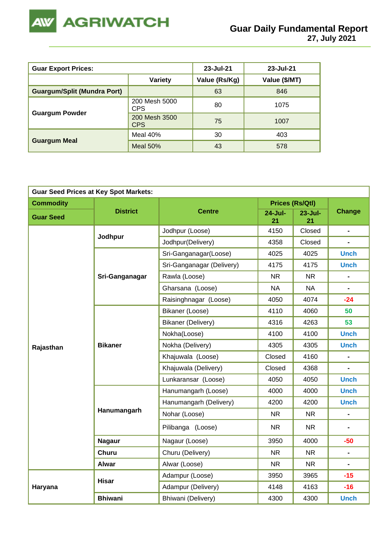

| <b>Guar Export Prices:</b>         | 23-Jul-21                   | 23-Jul-21     |               |
|------------------------------------|-----------------------------|---------------|---------------|
|                                    | Variety                     | Value (Rs/Kg) | Value (\$/MT) |
| <b>Guargum/Split (Mundra Port)</b> |                             | 63            | 846           |
|                                    | 200 Mesh 5000<br><b>CPS</b> | 80            | 1075          |
| <b>Guargum Powder</b>              | 200 Mesh 3500<br><b>CPS</b> | 75            | 1007          |
|                                    | Meal 40%                    | 30            | 403           |
| <b>Guargum Meal</b>                | Meal $50%$                  | 43            | 578           |

| <b>Guar Seed Prices at Key Spot Markets:</b> |                 |                                                                                                               |                   |                        |                              |  |  |
|----------------------------------------------|-----------------|---------------------------------------------------------------------------------------------------------------|-------------------|------------------------|------------------------------|--|--|
| <b>Commodity</b>                             |                 |                                                                                                               |                   | <b>Prices (Rs/Qtl)</b> |                              |  |  |
| <b>Guar Seed</b>                             | <b>District</b> | <b>Centre</b>                                                                                                 | $24 - July$<br>21 | $23 - July$<br>21      | <b>Change</b>                |  |  |
|                                              |                 | Jodhpur (Loose)                                                                                               | 4150              | Closed                 | $\blacksquare$               |  |  |
|                                              | Jodhpur         | Jodhpur(Delivery)                                                                                             | 4358              | Closed                 | $\blacksquare$               |  |  |
|                                              |                 | Sri-Ganganagar(Loose)                                                                                         | 4025              | 4025                   | <b>Unch</b>                  |  |  |
|                                              |                 | Sri-Ganganagar (Delivery)                                                                                     | 4175              | 4175                   | <b>Unch</b>                  |  |  |
|                                              | Sri-Ganganagar  | Rawla (Loose)                                                                                                 | <b>NR</b>         | <b>NR</b>              | $\blacksquare$               |  |  |
|                                              |                 | Gharsana (Loose)<br><b>NA</b>                                                                                 |                   | <b>NA</b>              | $\blacksquare$               |  |  |
|                                              |                 | Raisinghnagar (Loose)                                                                                         | 4050              | 4074                   | $-24$                        |  |  |
| Rajasthan                                    |                 | Bikaner (Loose)                                                                                               | 4110              | 4060                   | 50                           |  |  |
|                                              |                 | Bikaner (Delivery)<br>4316<br>Nokha(Loose)<br>4100<br>Nokha (Delivery)<br>4305<br>Khajuwala (Loose)<br>Closed |                   | 4263                   | 53                           |  |  |
|                                              |                 | 4100<br>4305<br>Khajuwala (Delivery)<br>Closed                                                                |                   |                        | <b>Unch</b>                  |  |  |
|                                              | <b>Bikaner</b>  |                                                                                                               |                   |                        | <b>Unch</b>                  |  |  |
|                                              |                 |                                                                                                               |                   | 4160                   | $\qquad \qquad \blacksquare$ |  |  |
|                                              |                 |                                                                                                               |                   | 4368                   |                              |  |  |
|                                              |                 | Lunkaransar (Loose)                                                                                           | 4050              | <b>Unch</b>            |                              |  |  |
|                                              |                 | Hanumangarh (Loose)                                                                                           | 4000              | 4000                   | <b>Unch</b>                  |  |  |
|                                              |                 | Hanumangarh (Delivery)                                                                                        | 4200              | 4200                   | <b>Unch</b>                  |  |  |
|                                              | Hanumangarh     | Nohar (Loose)                                                                                                 | <b>NR</b>         | <b>NR</b>              | $\blacksquare$               |  |  |
|                                              |                 | Pilibanga (Loose)                                                                                             |                   |                        |                              |  |  |
|                                              | <b>Nagaur</b>   | Nagaur (Loose)                                                                                                | 3950              | 4000                   | $-50$                        |  |  |
|                                              | <b>Churu</b>    | Churu (Delivery)                                                                                              | <b>NR</b>         | NR.                    | $\blacksquare$               |  |  |
|                                              | <b>Alwar</b>    | Alwar (Loose)                                                                                                 | <b>NR</b>         | NR.                    | $\blacksquare$               |  |  |
|                                              | <b>Hisar</b>    | Adampur (Loose)                                                                                               | 3950              | 3965                   | $-15$                        |  |  |
| Haryana                                      |                 | Adampur (Delivery)                                                                                            | 4148              | 4163                   | $-16$                        |  |  |
|                                              | <b>Bhiwani</b>  | Bhiwani (Delivery)                                                                                            | 4300              | 4300                   | <b>Unch</b>                  |  |  |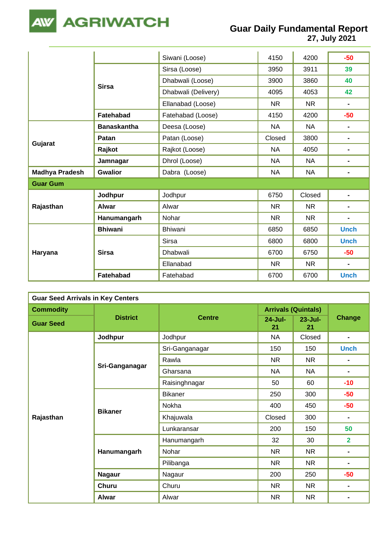

**27, July 2021**

|                       |                    | Siwani (Loose)      | 4150      | 4200      | $-50$          |
|-----------------------|--------------------|---------------------|-----------|-----------|----------------|
|                       |                    | Sirsa (Loose)       | 3950      | 3911      | 39             |
|                       | <b>Sirsa</b>       | Dhabwali (Loose)    | 3900      | 3860      | 40             |
|                       |                    | Dhabwali (Delivery) | 4095      | 4053      | 42             |
|                       |                    | Ellanabad (Loose)   | <b>NR</b> | <b>NR</b> | $\blacksquare$ |
|                       | Fatehabad          | Fatehabad (Loose)   | 4150      | 4200      | $-50$          |
|                       | <b>Banaskantha</b> | Deesa (Loose)       | <b>NA</b> | <b>NA</b> | $\blacksquare$ |
|                       | Patan              | Patan (Loose)       | Closed    | 3800      | $\blacksquare$ |
| Gujarat               | Rajkot             | Rajkot (Loose)      | <b>NA</b> | 4050      | $\blacksquare$ |
|                       | Jamnagar           | Dhrol (Loose)       | <b>NA</b> | <b>NA</b> | $\blacksquare$ |
| <b>Madhya Pradesh</b> | <b>Gwalior</b>     | Dabra (Loose)       | <b>NA</b> | <b>NA</b> | $\blacksquare$ |
| <b>Guar Gum</b>       |                    |                     |           |           |                |
|                       | Jodhpur            | Jodhpur             | 6750      | Closed    | $\blacksquare$ |
| Rajasthan             | <b>Alwar</b>       | Alwar               | <b>NR</b> | <b>NR</b> | $\blacksquare$ |
|                       | Hanumangarh        | Nohar               | <b>NR</b> | <b>NR</b> | $\blacksquare$ |
|                       | <b>Bhiwani</b>     | <b>Bhiwani</b>      | 6850      | 6850      | <b>Unch</b>    |
| Haryana               |                    | <b>Sirsa</b>        | 6800      | 6800      | <b>Unch</b>    |
|                       | <b>Sirsa</b>       | <b>Dhabwali</b>     | 6700      | 6750      | $-50$          |
|                       |                    | Ellanabad           | <b>NR</b> | <b>NR</b> | $\blacksquare$ |
|                       | Fatehabad          | Fatehabad           | 6700      | 6700      | <b>Unch</b>    |

| <b>Guar Seed Arrivals in Key Centers</b> |                 |                                                                                       |                            |                   |                |  |  |  |
|------------------------------------------|-----------------|---------------------------------------------------------------------------------------|----------------------------|-------------------|----------------|--|--|--|
| <b>Commodity</b>                         |                 |                                                                                       | <b>Arrivals (Quintals)</b> |                   |                |  |  |  |
| <b>Guar Seed</b>                         | <b>District</b> | <b>Centre</b>                                                                         | $24 -$ Jul-<br>21          | $23 -$ Jul-<br>21 | <b>Change</b>  |  |  |  |
|                                          | Jodhpur         | Jodhpur                                                                               | <b>NA</b>                  | Closed            | $\blacksquare$ |  |  |  |
|                                          |                 | Sri-Ganganagar                                                                        | 150                        | 150               | <b>Unch</b>    |  |  |  |
|                                          |                 | Rawla                                                                                 | <b>NR</b>                  | <b>NR</b>         | ٠              |  |  |  |
|                                          | Sri-Ganganagar  | Gharsana                                                                              | <b>NA</b>                  | <b>NA</b>         | $\blacksquare$ |  |  |  |
|                                          |                 | Raisinghnagar                                                                         | 50                         | 60                | $-10$          |  |  |  |
|                                          |                 | <b>Bikaner</b>                                                                        | 250                        | 300               | $-50$          |  |  |  |
|                                          | <b>Bikaner</b>  | Nokha                                                                                 |                            | 450               | $-50$          |  |  |  |
| Rajasthan                                |                 | Khajuwala                                                                             | Closed                     | 300               | $\blacksquare$ |  |  |  |
|                                          |                 | Lunkaransar                                                                           | 200                        | 150               | 50             |  |  |  |
|                                          |                 | Hanumangarh                                                                           | 32                         | 30                | $\overline{2}$ |  |  |  |
|                                          | Hanumangarh     | Nohar                                                                                 | NR.                        | NR.               | $\blacksquare$ |  |  |  |
|                                          |                 | 400<br>NR.<br>NR.<br>Pilibanga<br>200<br>Nagaur<br>Churu<br>NR.<br><b>NR</b><br>Alwar |                            |                   |                |  |  |  |
|                                          | <b>Nagaur</b>   |                                                                                       |                            | 250               | $-50$          |  |  |  |
|                                          | Churu           |                                                                                       |                            | NR.               | $\blacksquare$ |  |  |  |
|                                          | <b>Alwar</b>    |                                                                                       |                            | <b>NR</b>         | $\blacksquare$ |  |  |  |